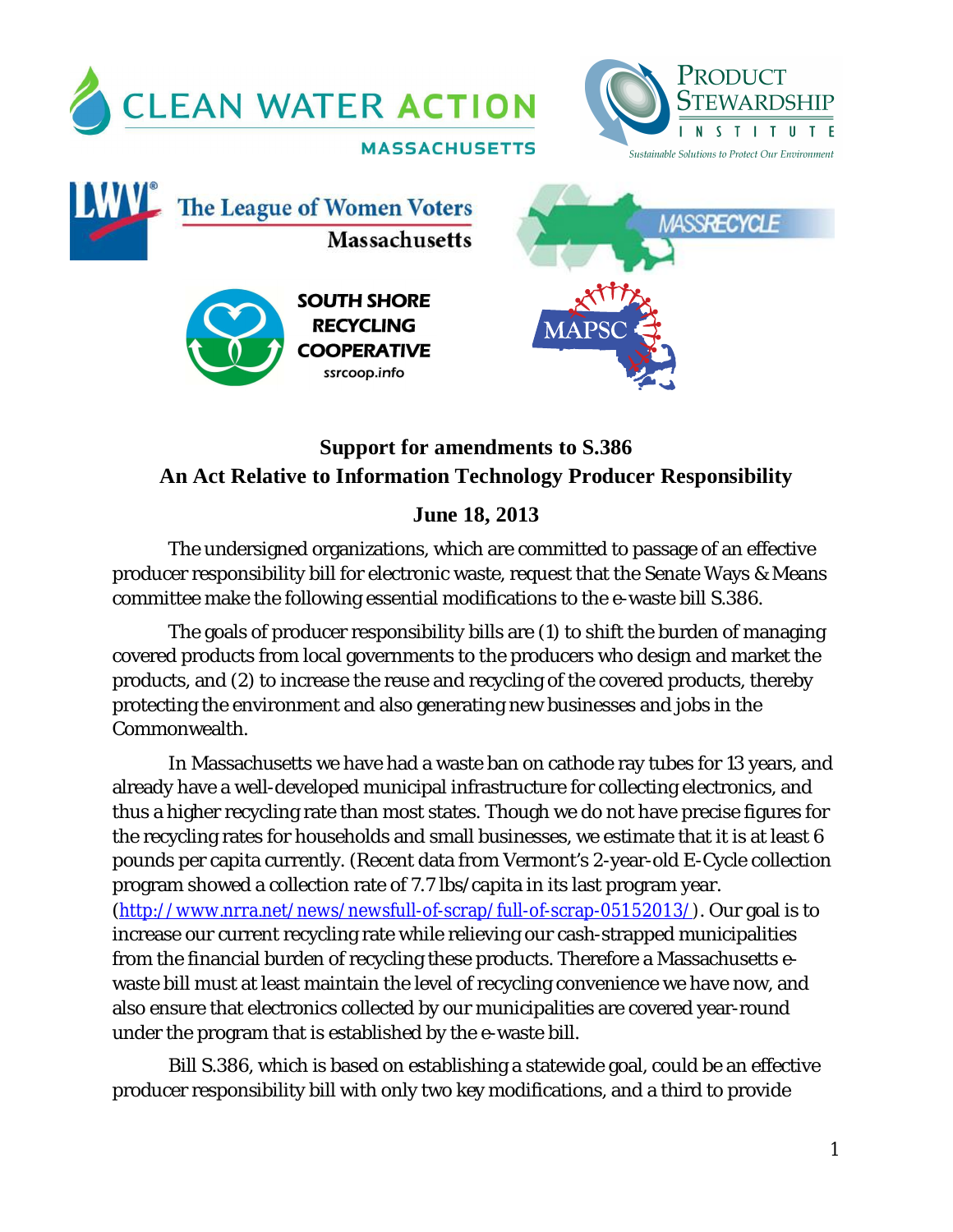

# **Support for amendments to S.386 An Act Relative to Information Technology Producer Responsibility**

## **June 18, 2013**

The undersigned organizations, which are committed to passage of an effective producer responsibility bill for electronic waste, request that the Senate Ways & Means committee make the following essential modifications to the e-waste bill S.386.

The goals of producer responsibility bills are (1) to shift the burden of managing covered products from local governments to the producers who design and market the products, and (2) to increase the reuse and recycling of the covered products, thereby protecting the environment and also generating new businesses and jobs in the Commonwealth.

In Massachusetts we have had a waste ban on cathode ray tubes for 13 years, and already have a well-developed municipal infrastructure for collecting electronics, and thus a higher recycling rate than most states. Though we do not have precise figures for the recycling rates for households and small businesses, we estimate that it is at least 6 pounds per capita currently. (Recent data from Vermont's 2-year-old E-Cycle collection program showed a collection rate of 7.7 lbs/capita in its last program year. (http://www.nrra.net/news/newsfull-of-scrap/full-of-scrap-05152013/). Our goal is to increase our current recycling rate while relieving our cash-strapped municipalities from the financial burden of recycling these products. Therefore a Massachusetts ewaste bill must at least maintain the level of recycling convenience we have now, and also ensure that electronics collected by our municipalities are covered year-round under the program that is established by the e-waste bill.

Bill S.386, which is based on establishing a statewide goal, could be an effective producer responsibility bill with only two key modifications, and a third to provide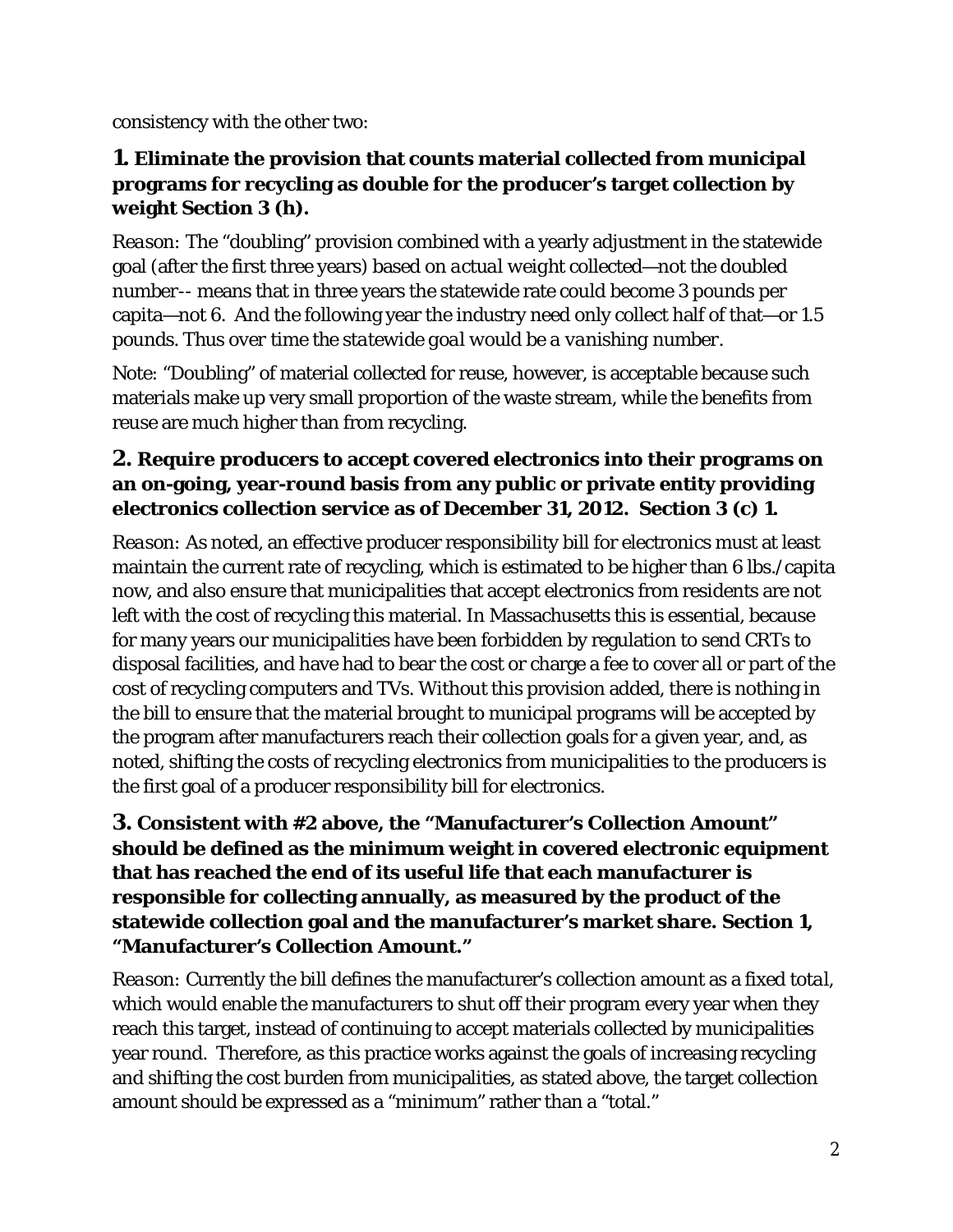consistency with the other two:

#### **1. Eliminate the provision that counts material collected from municipal programs for recycling as double for the producer's target collection by weight Section 3 (h).**

*Reason:* The "doubling" provision combined with a yearly adjustment in the statewide goal (after the first three years) based on *actual weight collected—not the doubled number--* means that in three years the statewide rate could become 3 pounds per capita—not 6. And the following year the industry need only collect half of that—or 1.5 pounds. *Thus over time the statewide goal would be a vanishing number.*

Note: "Doubling" of material collected for reuse, however, is acceptable because such materials make up very small proportion of the waste stream, while the benefits from reuse are much higher than from recycling.

## **2. Require producers to accept covered electronics into their programs on an on-going, year-round basis from any public or private entity providing electronics collection service as of December 31, 2012. Section 3 (c) 1.**

*Reason:* As noted, an effective producer responsibility bill for electronics must at least maintain the current rate of recycling, which is estimated to be higher than 6 lbs./capita now, and also ensure that municipalities that accept electronics from residents are not left with the cost of recycling this material. In Massachusetts this is essential, because for many years our municipalities have been forbidden by regulation to send CRTs to disposal facilities, and have had to bear the cost or charge a fee to cover all or part of the cost of recycling computers and TVs. Without this provision added, there is nothing in the bill to ensure that the material brought to municipal programs will be accepted by the program after manufacturers reach their collection goals for a given year, and, as noted, shifting the costs of recycling electronics from municipalities to the producers is the first goal of a producer responsibility bill for electronics.

### **3. Consistent with #2 above, the "Manufacturer's Collection Amount" should be defined as the** *minimum* **weight in covered electronic equipment that has reached the end of its useful life that each manufacturer is responsible for collecting annually, as measured by the product of the statewide collection goal and the manufacturer's market share. Section 1, "Manufacturer's Collection Amount."**

*Reason:* Currently the bill defines the manufacturer's collection amount as a fixed *total*, which would enable the manufacturers to shut off their program every year when they reach this target, instead of continuing to accept materials collected by municipalities year round. Therefore, as this practice works against the goals of increasing recycling and shifting the cost burden from municipalities, as stated above, the target collection amount should be expressed as a "minimum" rather than a "total."